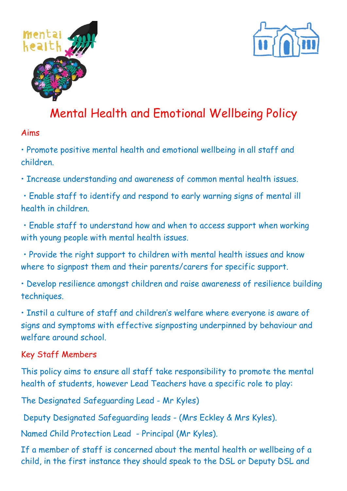



# Mental Health and Emotional Wellbeing Policy

#### Aims

• Promote positive mental health and emotional wellbeing in all staff and children.

• Increase understanding and awareness of common mental health issues.

• Enable staff to identify and respond to early warning signs of mental ill health in children.

• Enable staff to understand how and when to access support when working with young people with mental health issues.

• Provide the right support to children with mental health issues and know where to signpost them and their parents/carers for specific support.

• Develop resilience amongst children and raise awareness of resilience building techniques.

• Instil a culture of staff and children's welfare where everyone is aware of signs and symptoms with effective signposting underpinned by behaviour and welfare around school.

#### Key Staff Members

This policy aims to ensure all staff take responsibility to promote the mental health of students, however Lead Teachers have a specific role to play:

The Designated Safeguarding Lead - Mr Kyles)

Deputy Designated Safeguarding leads - (Mrs Eckley & Mrs Kyles).

Named Child Protection Lead - Principal (Mr Kyles).

If a member of staff is concerned about the mental health or wellbeing of a child, in the first instance they should speak to the DSL or Deputy DSL and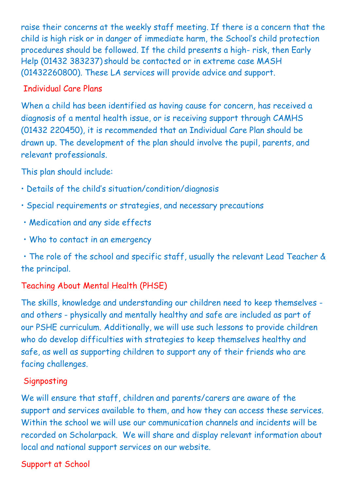raise their concerns at the weekly staff meeting. If there is a concern that the child is high risk or in danger of immediate harm, the School's child protection procedures should be followed. If the child presents a high- risk, then Early Help (01432 383237) should be contacted or in extreme case MASH (01432260800). These LA services will provide advice and support.

#### Individual Care Plans

When a child has been identified as having cause for concern, has received a diagnosis of a mental health issue, or is receiving support through CAMHS (01432 220450), it is recommended that an Individual Care Plan should be drawn up. The development of the plan should involve the pupil, parents, and relevant professionals.

This plan should include:

- Details of the child's situation/condition/diagnosis
- Special requirements or strategies, and necessary precautions
- Medication and any side effects
- Who to contact in an emergency

• The role of the school and specific staff, usually the relevant Lead Teacher & the principal.

## Teaching About Mental Health (PHSE)

The skills, knowledge and understanding our children need to keep themselves and others - physically and mentally healthy and safe are included as part of our PSHE curriculum. Additionally, we will use such lessons to provide children who do develop difficulties with strategies to keep themselves healthy and safe, as well as supporting children to support any of their friends who are facing challenges.

#### **Signposting**

We will ensure that staff, children and parents/carers are aware of the support and services available to them, and how they can access these services. Within the school we will use our communication channels and incidents will be recorded on Scholarpack. We will share and display relevant information about local and national support services on our website.

#### Support at School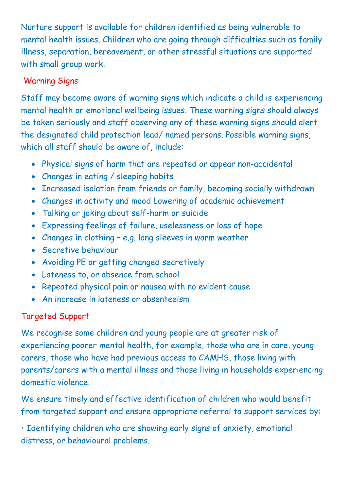Nurture support is available for children identified as being vulnerable to mental health issues. Children who are going through difficulties such as family illness, separation, bereavement, or other stressful situations are supported with small group work.

#### Warning Signs

Staff may become aware of warning signs which indicate a child is experiencing mental health or emotional wellbeing issues. These warning signs should always be taken seriously and staff observing any of these warning signs should alert the designated child protection lead/ named persons. Possible warning signs, which all staff should be aware of, include:

- Physical signs of harm that are repeated or appear non-accidental
- Changes in eating / sleeping habits
- Increased isolation from friends or family, becoming socially withdrawn
- Changes in activity and mood Lowering of academic achievement
- Talking or joking about self-harm or suicide
- Expressing feelings of failure, uselessness or loss of hope
- Changes in clothing e.g. long sleeves in warm weather
- Secretive behaviour
- Avoiding PE or getting changed secretively
- Lateness to, or absence from school
- Repeated physical pain or nausea with no evident cause
- An increase in lateness or absenteeism

## Targeted Support

We recognise some children and young people are at greater risk of experiencing poorer mental health, for example, those who are in care, young carers, those who have had previous access to CAMHS, those living with parents/carers with a mental illness and those living in households experiencing domestic violence.

We ensure timely and effective identification of children who would benefit from targeted support and ensure appropriate referral to support services by:

• Identifying children who are showing early signs of anxiety, emotional distress, or behavioural problems.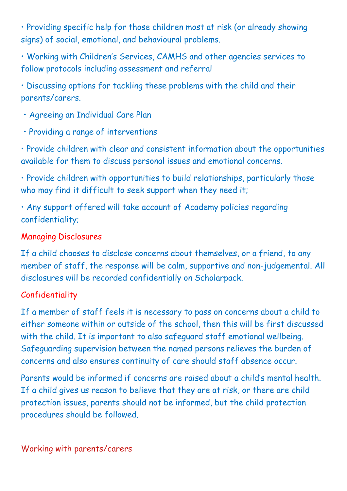• Providing specific help for those children most at risk (or already showing signs) of social, emotional, and behavioural problems.

• Working with Children's Services, CAMHS and other agencies services to follow protocols including assessment and referral

• Discussing options for tackling these problems with the child and their parents/carers.

- Agreeing an Individual Care Plan
- Providing a range of interventions

• Provide children with clear and consistent information about the opportunities available for them to discuss personal issues and emotional concerns.

• Provide children with opportunities to build relationships, particularly those who may find it difficult to seek support when they need it;

• Any support offered will take account of Academy policies regarding confidentiality;

#### Managing Disclosures

If a child chooses to disclose concerns about themselves, or a friend, to any member of staff, the response will be calm, supportive and non-judgemental. All disclosures will be recorded confidentially on Scholarpack.

## Confidentiality

If a member of staff feels it is necessary to pass on concerns about a child to either someone within or outside of the school, then this will be first discussed with the child. It is important to also safeguard staff emotional wellbeing. Safeguarding supervision between the named persons relieves the burden of concerns and also ensures continuity of care should staff absence occur.

Parents would be informed if concerns are raised about a child's mental health. If a child gives us reason to believe that they are at risk, or there are child protection issues, parents should not be informed, but the child protection procedures should be followed.

#### Working with parents/carers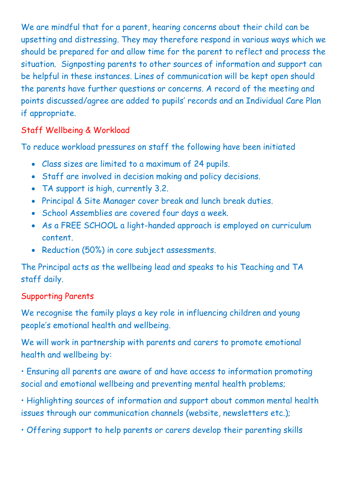We are mindful that for a parent, hearing concerns about their child can be upsetting and distressing. They may therefore respond in various ways which we should be prepared for and allow time for the parent to reflect and process the situation. Signposting parents to other sources of information and support can be helpful in these instances. Lines of communication will be kept open should the parents have further questions or concerns. A record of the meeting and points discussed/agree are added to pupils' records and an Individual Care Plan if appropriate.

#### Staff Wellbeing & Workload

To reduce workload pressures on staff the following have been initiated

- Class sizes are limited to a maximum of 24 pupils.
- Staff are involved in decision making and policy decisions.
- TA support is high, currently 3.2.
- Principal & Site Manager cover break and lunch break duties.
- School Assemblies are covered four days a week.
- As a FREE SCHOOL a light-handed approach is employed on curriculum content.
- Reduction (50%) in core subject assessments.

The Principal acts as the wellbeing lead and speaks to his Teaching and TA staff daily.

#### Supporting Parents

We recognise the family plays a key role in influencing children and young people's emotional health and wellbeing.

We will work in partnership with parents and carers to promote emotional health and wellbeing by:

• Ensuring all parents are aware of and have access to information promoting social and emotional wellbeing and preventing mental health problems;

• Highlighting sources of information and support about common mental health issues through our communication channels (website, newsletters etc.);

• Offering support to help parents or carers develop their parenting skills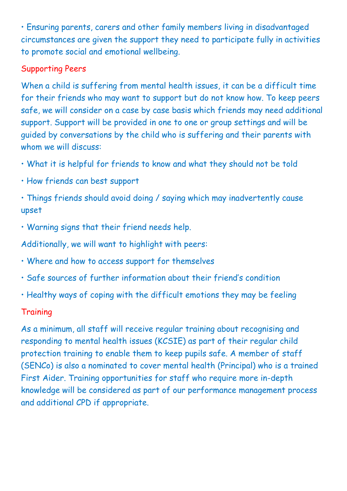• Ensuring parents, carers and other family members living in disadvantaged circumstances are given the support they need to participate fully in activities to promote social and emotional wellbeing.

#### Supporting Peers

When a child is suffering from mental health issues, it can be a difficult time for their friends who may want to support but do not know how. To keep peers safe, we will consider on a case by case basis which friends may need additional support. Support will be provided in one to one or group settings and will be guided by conversations by the child who is suffering and their parents with whom we will discuss:

- What it is helpful for friends to know and what they should not be told
- How friends can best support

• Things friends should avoid doing / saying which may inadvertently cause upset

• Warning signs that their friend needs help.

Additionally, we will want to highlight with peers:

- Where and how to access support for themselves
- Safe sources of further information about their friend's condition
- Healthy ways of coping with the difficult emotions they may be feeling

#### **Training**

As a minimum, all staff will receive regular training about recognising and responding to mental health issues (KCSIE) as part of their regular child protection training to enable them to keep pupils safe. A member of staff (SENCo) is also a nominated to cover mental health (Principal) who is a trained First Aider. Training opportunities for staff who require more in-depth knowledge will be considered as part of our performance management process and additional CPD if appropriate.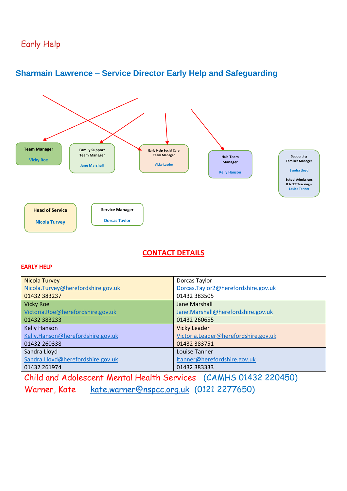## Early Help



#### **Sharmain Lawrence – Service Director Early Help and Safeguarding**

#### **CONTACT DETAILS**

#### **EARLY HELP**

| <b>Nicola Turvey</b>                                             | Dorcas Taylor                        |  |  |  |  |  |  |
|------------------------------------------------------------------|--------------------------------------|--|--|--|--|--|--|
| Nicola.Turvey@herefordshire.gov.uk                               | Dorcas.Taylor2@herefordshire.gov.uk  |  |  |  |  |  |  |
| 01432 383237                                                     | 01432 383505                         |  |  |  |  |  |  |
| <b>Vicky Roe</b>                                                 | Jane Marshall                        |  |  |  |  |  |  |
| Victoria.Roe@herefordshire.gov.uk                                | Jane.Marshall@herefordshire.gov.uk   |  |  |  |  |  |  |
| 01432 383233                                                     | 01432 260655                         |  |  |  |  |  |  |
| <b>Kelly Hanson</b>                                              | <b>Vicky Leader</b>                  |  |  |  |  |  |  |
| Kelly.Hanson@herefordshire.gov.uk                                | Victoria.Leader@herefordshire.gov.uk |  |  |  |  |  |  |
| 01432 260338                                                     | 01432 383751                         |  |  |  |  |  |  |
| Sandra Lloyd                                                     | Louise Tanner                        |  |  |  |  |  |  |
| Sandra.Lloyd@herefordshire.gov.uk                                | Itanner@herefordshire.gov.uk         |  |  |  |  |  |  |
| 01432 261974                                                     | 01432 383333                         |  |  |  |  |  |  |
| Child and Adolescent Mental Health Services (CAMHS 01432 220450) |                                      |  |  |  |  |  |  |
| kate.warner@nspcc.org.uk (0121 2277650)<br>Warner, Kate          |                                      |  |  |  |  |  |  |
|                                                                  |                                      |  |  |  |  |  |  |